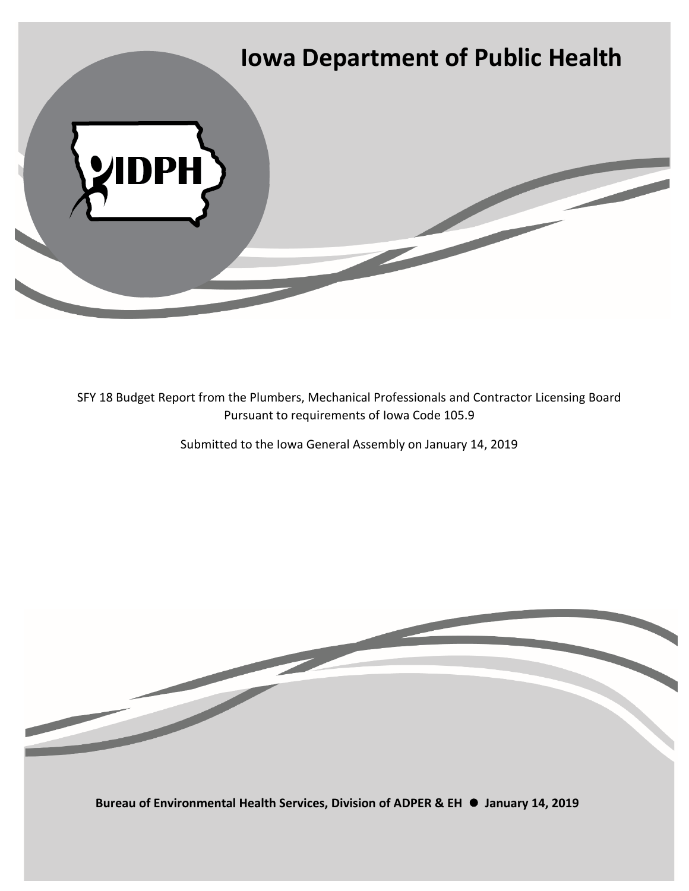

SFY 18 Budget Report from the Plumbers, Mechanical Professionals and Contractor Licensing Board Pursuant to requirements of Iowa Code 105.9

Submitted to the Iowa General Assembly on January 14, 2019

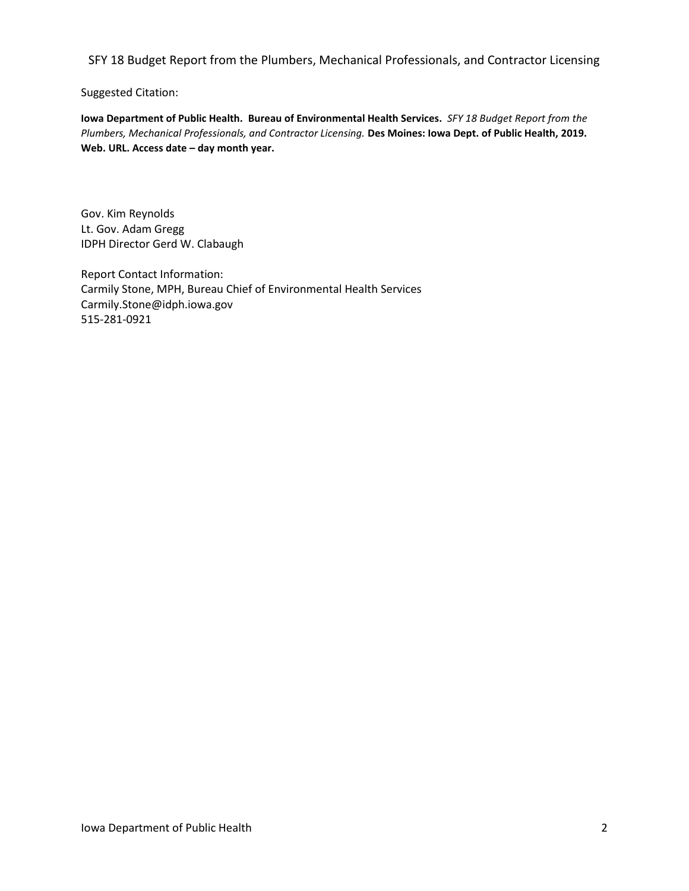Suggested Citation:

**Iowa Department of Public Health. Bureau of Environmental Health Services.** *SFY 18 Budget Report from the Plumbers, Mechanical Professionals, and Contractor Licensing.* **Des Moines: Iowa Dept. of Public Health, 2019. Web. URL. Access date – day month year.**

Gov. Kim Reynolds Lt. Gov. Adam Gregg IDPH Director Gerd W. Clabaugh

Report Contact Information: Carmily Stone, MPH, Bureau Chief of Environmental Health Services Carmily.Stone@idph.iowa.gov 515-281-0921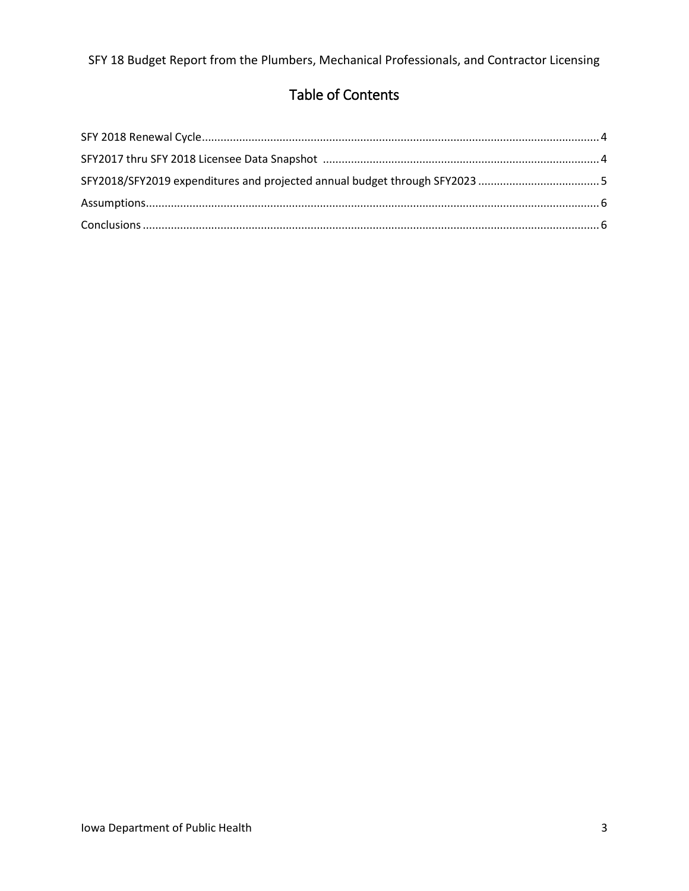# Table of Contents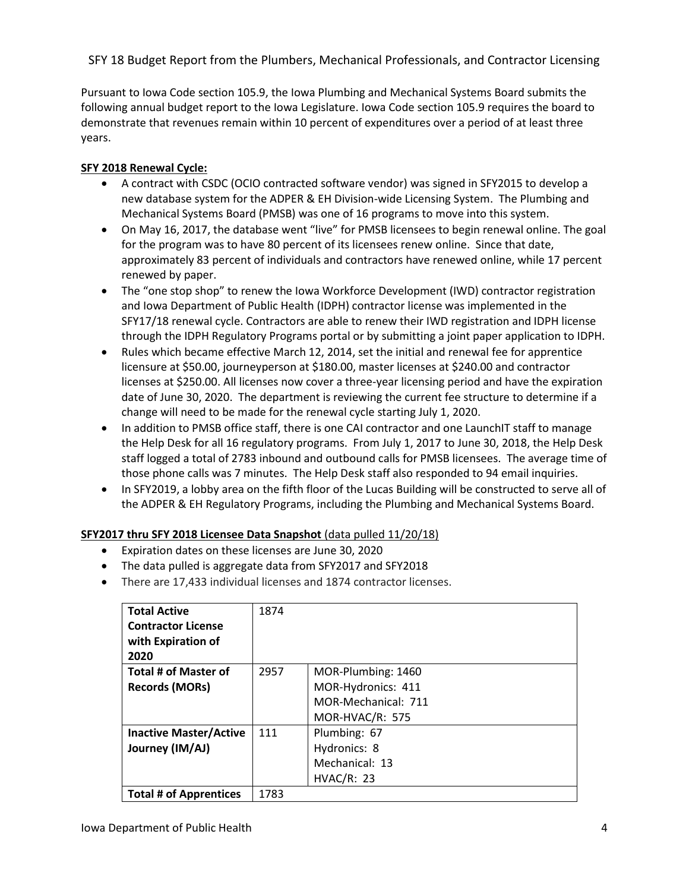Pursuant to Iowa Code section 105.9, the Iowa Plumbing and Mechanical Systems Board submits the following annual budget report to the Iowa Legislature. Iowa Code section 105.9 requires the board to demonstrate that revenues remain within 10 percent of expenditures over a period of at least three years.

### **SFY 2018 Renewal Cycle:**

- A contract with CSDC (OCIO contracted software vendor) was signed in SFY2015 to develop a new database system for the ADPER & EH Division-wide Licensing System. The Plumbing and Mechanical Systems Board (PMSB) was one of 16 programs to move into this system.
- On May 16, 2017, the database went "live" for PMSB licensees to begin renewal online. The goal for the program was to have 80 percent of its licensees renew online. Since that date, approximately 83 percent of individuals and contractors have renewed online, while 17 percent renewed by paper.
- The "one stop shop" to renew the Iowa Workforce Development (IWD) contractor registration and Iowa Department of Public Health (IDPH) contractor license was implemented in the SFY17/18 renewal cycle. Contractors are able to renew their IWD registration and IDPH license through the IDPH Regulatory Programs portal or by submitting a joint paper application to IDPH.
- Rules which became effective March 12, 2014, set the initial and renewal fee for apprentice licensure at \$50.00, journeyperson at \$180.00, master licenses at \$240.00 and contractor licenses at \$250.00. All licenses now cover a three-year licensing period and have the expiration date of June 30, 2020. The department is reviewing the current fee structure to determine if a change will need to be made for the renewal cycle starting July 1, 2020.
- In addition to PMSB office staff, there is one CAI contractor and one LaunchIT staff to manage the Help Desk for all 16 regulatory programs. From July 1, 2017 to June 30, 2018, the Help Desk staff logged a total of 2783 inbound and outbound calls for PMSB licensees. The average time of those phone calls was 7 minutes. The Help Desk staff also responded to 94 email inquiries.
- In SFY2019, a lobby area on the fifth floor of the Lucas Building will be constructed to serve all of the ADPER & EH Regulatory Programs, including the Plumbing and Mechanical Systems Board.

## **SFY2017 thru SFY 2018 Licensee Data Snapshot** (data pulled 11/20/18)

- Expiration dates on these licenses are June 30, 2020
- The data pulled is aggregate data from SFY2017 and SFY2018
- There are 17,433 individual licenses and 1874 contractor licenses.

| <b>Total Active</b>           | 1874               |                     |  |  |
|-------------------------------|--------------------|---------------------|--|--|
| <b>Contractor License</b>     |                    |                     |  |  |
| with Expiration of            |                    |                     |  |  |
| 2020                          |                    |                     |  |  |
| Total # of Master of          | 2957               | MOR-Plumbing: 1460  |  |  |
| <b>Records (MORs)</b>         | MOR-Hydronics: 411 |                     |  |  |
|                               |                    | MOR-Mechanical: 711 |  |  |
|                               |                    | MOR-HVAC/R: 575     |  |  |
| <b>Inactive Master/Active</b> | 111                | Plumbing: 67        |  |  |
| Journey (IM/AJ)               |                    | Hydronics: 8        |  |  |
|                               |                    | Mechanical: 13      |  |  |
|                               |                    | HVAC/R: 23          |  |  |
| <b>Total # of Apprentices</b> | 1783               |                     |  |  |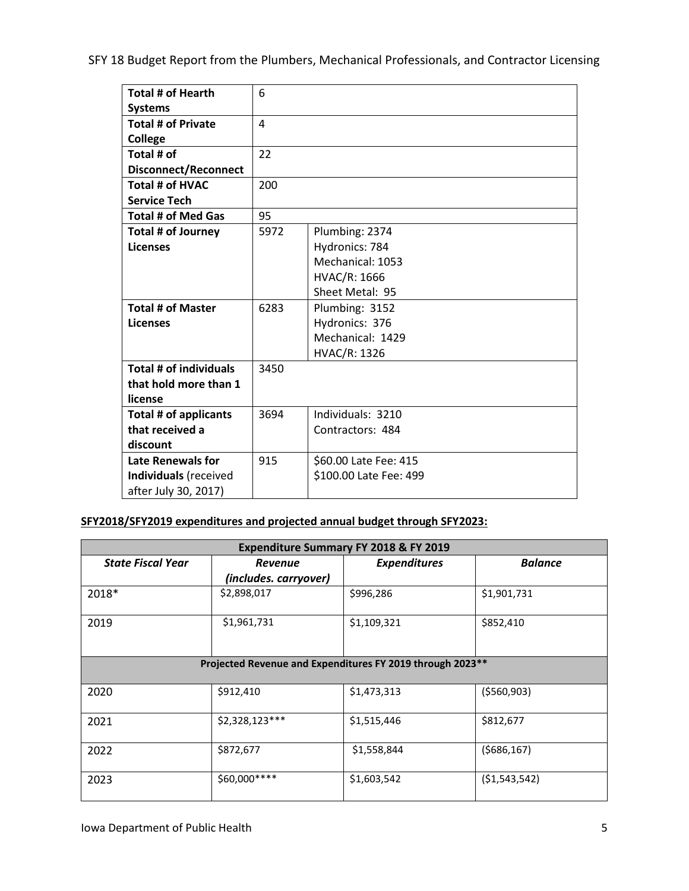| <b>Total # of Hearth</b>      | 6    |                        |  |
|-------------------------------|------|------------------------|--|
| <b>Systems</b>                |      |                        |  |
| <b>Total # of Private</b>     | 4    |                        |  |
| <b>College</b>                |      |                        |  |
| Total # of                    | 22   |                        |  |
| <b>Disconnect/Reconnect</b>   |      |                        |  |
| Total # of HVAC               | 200  |                        |  |
| <b>Service Tech</b>           |      |                        |  |
| <b>Total # of Med Gas</b>     | 95   |                        |  |
| <b>Total # of Journey</b>     | 5972 | Plumbing: 2374         |  |
| <b>Licenses</b>               |      | Hydronics: 784         |  |
|                               |      | Mechanical: 1053       |  |
|                               |      | <b>HVAC/R: 1666</b>    |  |
|                               |      | Sheet Metal: 95        |  |
| <b>Total # of Master</b>      | 6283 | Plumbing: 3152         |  |
| <b>Licenses</b>               |      | Hydronics: 376         |  |
|                               |      | Mechanical: 1429       |  |
|                               |      | HVAC/R: 1326           |  |
| <b>Total # of individuals</b> | 3450 |                        |  |
| that hold more than 1         |      |                        |  |
| license                       |      |                        |  |
| Total # of applicants         | 3694 | Individuals: 3210      |  |
| that received a               |      | Contractors: 484       |  |
| discount                      |      |                        |  |
| <b>Late Renewals for</b>      | 915  | \$60.00 Late Fee: 415  |  |
| Individuals (received         |      | \$100.00 Late Fee: 499 |  |
| after July 30, 2017)          |      |                        |  |

# **SFY2018/SFY2019 expenditures and projected annual budget through SFY2023:**

| Expenditure Summary FY 2018 & FY 2019                      |                       |                     |                |  |  |  |  |
|------------------------------------------------------------|-----------------------|---------------------|----------------|--|--|--|--|
| <b>State Fiscal Year</b>                                   | Revenue               | <b>Expenditures</b> | <b>Balance</b> |  |  |  |  |
|                                                            | (includes. carryover) |                     |                |  |  |  |  |
| 2018*                                                      | \$2,898,017           | \$996,286           | \$1,901,731    |  |  |  |  |
| 2019                                                       | \$1,961,731           | \$1,109,321         | \$852,410      |  |  |  |  |
| Projected Revenue and Expenditures FY 2019 through 2023 ** |                       |                     |                |  |  |  |  |
| 2020                                                       | \$912,410             | \$1,473,313         | ( \$560, 903)  |  |  |  |  |
| 2021                                                       | \$2,328,123***        | \$1,515,446         | \$812,677      |  |  |  |  |
| 2022                                                       | \$872,677             | \$1,558,844         | (5686, 167)    |  |  |  |  |
| 2023                                                       | \$60,000 ****         | \$1,603,542         | (51, 543, 542) |  |  |  |  |